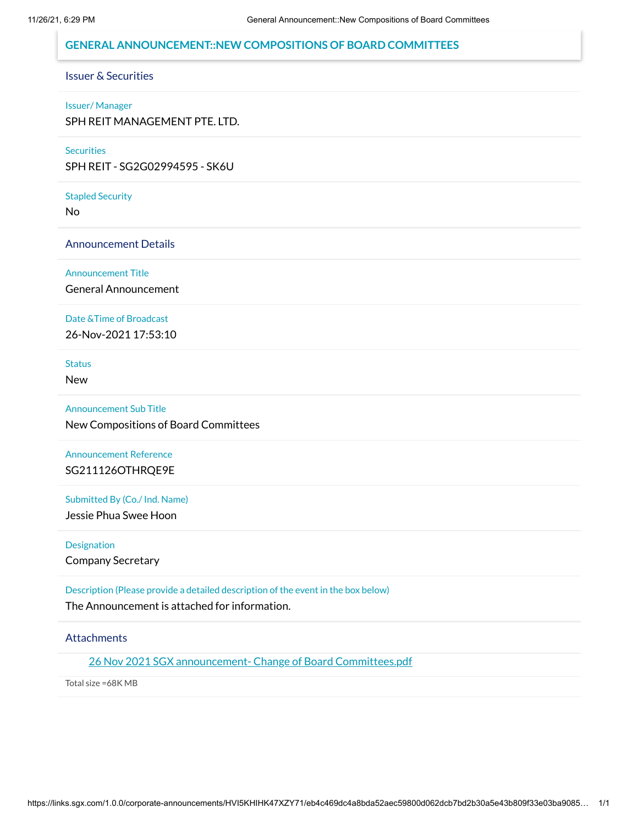## **GENERAL ANNOUNCEMENT::NEW COMPOSITIONS OF BOARD COMMITTEES**

# Issuer & Securities

#### Issuer/ Manager

SPH REIT MANAGEMENT PTE. LTD.

### **Securities**

SPH REIT - SG2G02994595 - SK6U

### Stapled Security

No

### Announcement Details

Announcement Title

General Announcement

### Date &Time of Broadcast

26-Nov-2021 17:53:10

**Status** 

New

Announcement Sub Title New Compositions of Board Committees

# Announcement Reference SG211126OTHRQE9E

Submitted By (Co./ Ind. Name)

Jessie Phua Swee Hoon

**Designation** 

Company Secretary

Description (Please provide a detailed description of the event in the box below)

The Announcement is attached for information.

### **Attachments**

26 Nov 2021 SGX announcement- Change of Board [Committees.pdf](https://links.sgx.com/1.0.0/corporate-announcements/HVI5KHIHK47XZY71/692249_26%20Nov%202021%20SGX%20announcement-%20Change%20of%20Board%20Committees.pdf)

Total size =68K MB